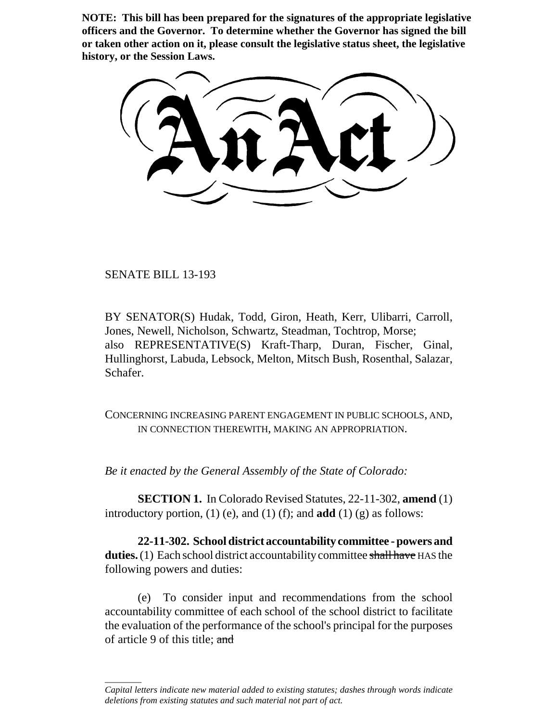**NOTE: This bill has been prepared for the signatures of the appropriate legislative officers and the Governor. To determine whether the Governor has signed the bill or taken other action on it, please consult the legislative status sheet, the legislative history, or the Session Laws.**

SENATE BILL 13-193

\_\_\_\_\_\_\_\_

BY SENATOR(S) Hudak, Todd, Giron, Heath, Kerr, Ulibarri, Carroll, Jones, Newell, Nicholson, Schwartz, Steadman, Tochtrop, Morse; also REPRESENTATIVE(S) Kraft-Tharp, Duran, Fischer, Ginal, Hullinghorst, Labuda, Lebsock, Melton, Mitsch Bush, Rosenthal, Salazar, Schafer.

CONCERNING INCREASING PARENT ENGAGEMENT IN PUBLIC SCHOOLS, AND, IN CONNECTION THEREWITH, MAKING AN APPROPRIATION.

*Be it enacted by the General Assembly of the State of Colorado:*

**SECTION 1.** In Colorado Revised Statutes, 22-11-302, **amend** (1) introductory portion, (1) (e), and (1) (f); and **add** (1) (g) as follows:

**22-11-302. School district accountability committee - powers and duties.** (1) Each school district accountability committee shall have HAS the following powers and duties:

(e) To consider input and recommendations from the school accountability committee of each school of the school district to facilitate the evaluation of the performance of the school's principal for the purposes of article 9 of this title; and

*Capital letters indicate new material added to existing statutes; dashes through words indicate deletions from existing statutes and such material not part of act.*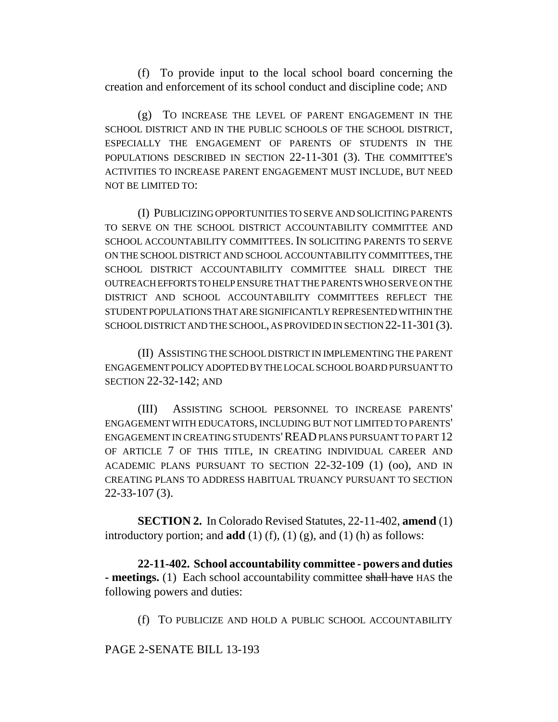(f) To provide input to the local school board concerning the creation and enforcement of its school conduct and discipline code; AND

(g) TO INCREASE THE LEVEL OF PARENT ENGAGEMENT IN THE SCHOOL DISTRICT AND IN THE PUBLIC SCHOOLS OF THE SCHOOL DISTRICT, ESPECIALLY THE ENGAGEMENT OF PARENTS OF STUDENTS IN THE POPULATIONS DESCRIBED IN SECTION 22-11-301 (3). THE COMMITTEE'S ACTIVITIES TO INCREASE PARENT ENGAGEMENT MUST INCLUDE, BUT NEED NOT BE LIMITED TO:

(I) PUBLICIZING OPPORTUNITIES TO SERVE AND SOLICITING PARENTS TO SERVE ON THE SCHOOL DISTRICT ACCOUNTABILITY COMMITTEE AND SCHOOL ACCOUNTABILITY COMMITTEES. IN SOLICITING PARENTS TO SERVE ON THE SCHOOL DISTRICT AND SCHOOL ACCOUNTABILITY COMMITTEES, THE SCHOOL DISTRICT ACCOUNTABILITY COMMITTEE SHALL DIRECT THE OUTREACH EFFORTS TO HELP ENSURE THAT THE PARENTS WHO SERVE ON THE DISTRICT AND SCHOOL ACCOUNTABILITY COMMITTEES REFLECT THE STUDENT POPULATIONS THAT ARE SIGNIFICANTLY REPRESENTED WITHIN THE SCHOOL DISTRICT AND THE SCHOOL, AS PROVIDED IN SECTION 22-11-301(3).

(II) ASSISTING THE SCHOOL DISTRICT IN IMPLEMENTING THE PARENT ENGAGEMENT POLICY ADOPTED BY THE LOCAL SCHOOL BOARD PURSUANT TO SECTION 22-32-142; AND

(III) ASSISTING SCHOOL PERSONNEL TO INCREASE PARENTS' ENGAGEMENT WITH EDUCATORS, INCLUDING BUT NOT LIMITED TO PARENTS' ENGAGEMENT IN CREATING STUDENTS'READ PLANS PURSUANT TO PART 12 OF ARTICLE 7 OF THIS TITLE, IN CREATING INDIVIDUAL CAREER AND ACADEMIC PLANS PURSUANT TO SECTION 22-32-109 (1) (oo), AND IN CREATING PLANS TO ADDRESS HABITUAL TRUANCY PURSUANT TO SECTION 22-33-107 (3).

**SECTION 2.** In Colorado Revised Statutes, 22-11-402, **amend** (1) introductory portion; and **add** (1) (f), (1) (g), and (1) (h) as follows:

**22-11-402. School accountability committee - powers and duties - meetings.** (1) Each school accountability committee shall have HAS the following powers and duties:

(f) TO PUBLICIZE AND HOLD A PUBLIC SCHOOL ACCOUNTABILITY

PAGE 2-SENATE BILL 13-193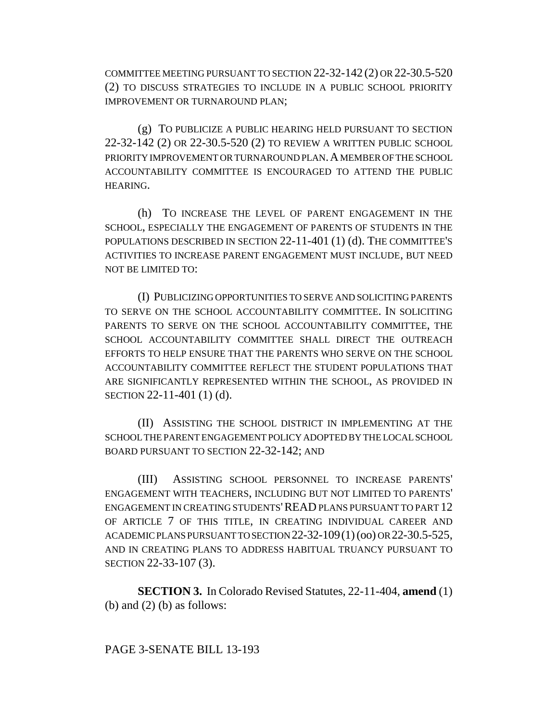COMMITTEE MEETING PURSUANT TO SECTION 22-32-142 (2) OR 22-30.5-520 (2) TO DISCUSS STRATEGIES TO INCLUDE IN A PUBLIC SCHOOL PRIORITY IMPROVEMENT OR TURNAROUND PLAN;

(g) TO PUBLICIZE A PUBLIC HEARING HELD PURSUANT TO SECTION 22-32-142 (2) OR 22-30.5-520 (2) TO REVIEW A WRITTEN PUBLIC SCHOOL PRIORITY IMPROVEMENT OR TURNAROUND PLAN. A MEMBER OF THE SCHOOL ACCOUNTABILITY COMMITTEE IS ENCOURAGED TO ATTEND THE PUBLIC HEARING.

(h) TO INCREASE THE LEVEL OF PARENT ENGAGEMENT IN THE SCHOOL, ESPECIALLY THE ENGAGEMENT OF PARENTS OF STUDENTS IN THE POPULATIONS DESCRIBED IN SECTION 22-11-401 (1) (d). THE COMMITTEE'S ACTIVITIES TO INCREASE PARENT ENGAGEMENT MUST INCLUDE, BUT NEED NOT BE LIMITED TO:

(I) PUBLICIZING OPPORTUNITIES TO SERVE AND SOLICITING PARENTS TO SERVE ON THE SCHOOL ACCOUNTABILITY COMMITTEE. IN SOLICITING PARENTS TO SERVE ON THE SCHOOL ACCOUNTABILITY COMMITTEE, THE SCHOOL ACCOUNTABILITY COMMITTEE SHALL DIRECT THE OUTREACH EFFORTS TO HELP ENSURE THAT THE PARENTS WHO SERVE ON THE SCHOOL ACCOUNTABILITY COMMITTEE REFLECT THE STUDENT POPULATIONS THAT ARE SIGNIFICANTLY REPRESENTED WITHIN THE SCHOOL, AS PROVIDED IN SECTION 22-11-401 (1) (d).

(II) ASSISTING THE SCHOOL DISTRICT IN IMPLEMENTING AT THE SCHOOL THE PARENT ENGAGEMENT POLICY ADOPTED BY THE LOCAL SCHOOL BOARD PURSUANT TO SECTION 22-32-142; AND

(III) ASSISTING SCHOOL PERSONNEL TO INCREASE PARENTS' ENGAGEMENT WITH TEACHERS, INCLUDING BUT NOT LIMITED TO PARENTS' ENGAGEMENT IN CREATING STUDENTS'READ PLANS PURSUANT TO PART 12 OF ARTICLE 7 OF THIS TITLE, IN CREATING INDIVIDUAL CAREER AND ACADEMIC PLANS PURSUANT TO SECTION 22-32-109(1) (oo) OR 22-30.5-525, AND IN CREATING PLANS TO ADDRESS HABITUAL TRUANCY PURSUANT TO SECTION 22-33-107 (3).

**SECTION 3.** In Colorado Revised Statutes, 22-11-404, **amend** (1) (b) and  $(2)$  (b) as follows:

# PAGE 3-SENATE BILL 13-193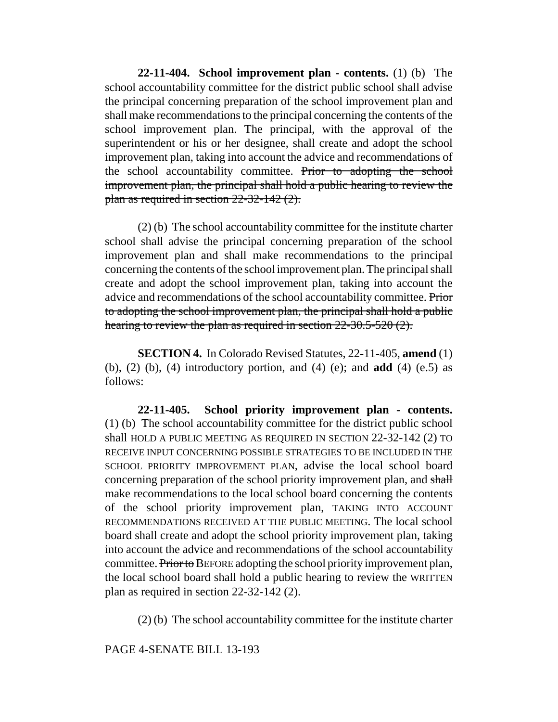**22-11-404. School improvement plan - contents.** (1) (b) The school accountability committee for the district public school shall advise the principal concerning preparation of the school improvement plan and shall make recommendations to the principal concerning the contents of the school improvement plan. The principal, with the approval of the superintendent or his or her designee, shall create and adopt the school improvement plan, taking into account the advice and recommendations of the school accountability committee. Prior to adopting the school improvement plan, the principal shall hold a public hearing to review the plan as required in section 22-32-142 (2).

(2) (b) The school accountability committee for the institute charter school shall advise the principal concerning preparation of the school improvement plan and shall make recommendations to the principal concerning the contents of the school improvement plan. The principal shall create and adopt the school improvement plan, taking into account the advice and recommendations of the school accountability committee. Prior to adopting the school improvement plan, the principal shall hold a public hearing to review the plan as required in section 22-30.5-520 (2).

**SECTION 4.** In Colorado Revised Statutes, 22-11-405, **amend** (1) (b), (2) (b), (4) introductory portion, and (4) (e); and **add** (4) (e.5) as follows:

**22-11-405. School priority improvement plan - contents.** (1) (b) The school accountability committee for the district public school shall HOLD A PUBLIC MEETING AS REQUIRED IN SECTION 22-32-142 (2) TO RECEIVE INPUT CONCERNING POSSIBLE STRATEGIES TO BE INCLUDED IN THE SCHOOL PRIORITY IMPROVEMENT PLAN, advise the local school board concerning preparation of the school priority improvement plan, and shall make recommendations to the local school board concerning the contents of the school priority improvement plan, TAKING INTO ACCOUNT RECOMMENDATIONS RECEIVED AT THE PUBLIC MEETING. The local school board shall create and adopt the school priority improvement plan, taking into account the advice and recommendations of the school accountability committee. Prior to BEFORE adopting the school priority improvement plan, the local school board shall hold a public hearing to review the WRITTEN plan as required in section 22-32-142 (2).

(2) (b) The school accountability committee for the institute charter

PAGE 4-SENATE BILL 13-193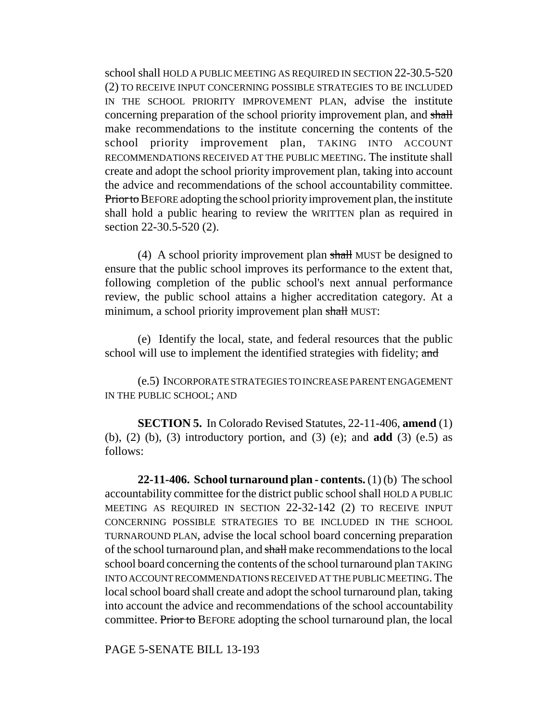school shall HOLD A PUBLIC MEETING AS REQUIRED IN SECTION 22-30.5-520 (2) TO RECEIVE INPUT CONCERNING POSSIBLE STRATEGIES TO BE INCLUDED IN THE SCHOOL PRIORITY IMPROVEMENT PLAN, advise the institute concerning preparation of the school priority improvement plan, and shall make recommendations to the institute concerning the contents of the school priority improvement plan, TAKING INTO ACCOUNT RECOMMENDATIONS RECEIVED AT THE PUBLIC MEETING. The institute shall create and adopt the school priority improvement plan, taking into account the advice and recommendations of the school accountability committee. Prior to BEFORE adopting the school priority improvement plan, the institute shall hold a public hearing to review the WRITTEN plan as required in section 22-30.5-520 (2).

(4) A school priority improvement plan shall MUST be designed to ensure that the public school improves its performance to the extent that, following completion of the public school's next annual performance review, the public school attains a higher accreditation category. At a minimum, a school priority improvement plan shall MUST:

(e) Identify the local, state, and federal resources that the public school will use to implement the identified strategies with fidelity; and

(e.5) INCORPORATE STRATEGIES TO INCREASE PARENT ENGAGEMENT IN THE PUBLIC SCHOOL; AND

**SECTION 5.** In Colorado Revised Statutes, 22-11-406, **amend** (1) (b), (2) (b), (3) introductory portion, and (3) (e); and **add** (3) (e.5) as follows:

**22-11-406. School turnaround plan - contents.** (1) (b) The school accountability committee for the district public school shall HOLD A PUBLIC MEETING AS REQUIRED IN SECTION 22-32-142 (2) TO RECEIVE INPUT CONCERNING POSSIBLE STRATEGIES TO BE INCLUDED IN THE SCHOOL TURNAROUND PLAN, advise the local school board concerning preparation of the school turnaround plan, and shall make recommendations to the local school board concerning the contents of the school turnaround plan TAKING INTO ACCOUNT RECOMMENDATIONS RECEIVED AT THE PUBLIC MEETING. The local school board shall create and adopt the school turnaround plan, taking into account the advice and recommendations of the school accountability committee. Prior to BEFORE adopting the school turnaround plan, the local

PAGE 5-SENATE BILL 13-193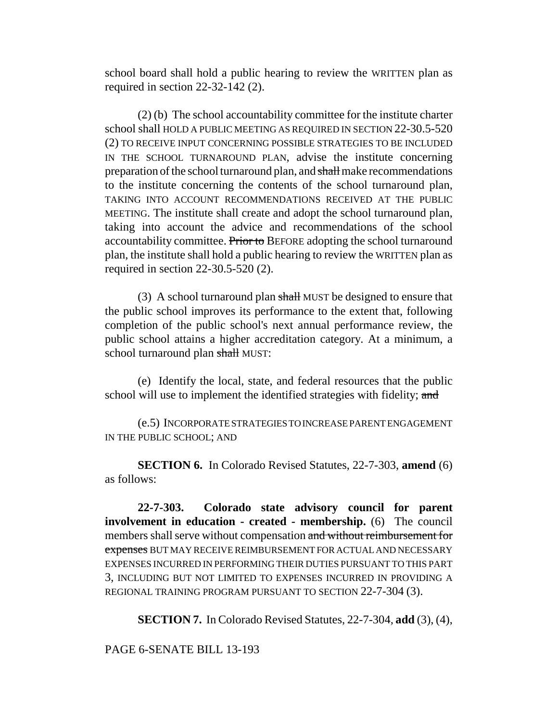school board shall hold a public hearing to review the WRITTEN plan as required in section 22-32-142 (2).

(2) (b) The school accountability committee for the institute charter school shall HOLD A PUBLIC MEETING AS REQUIRED IN SECTION 22-30.5-520 (2) TO RECEIVE INPUT CONCERNING POSSIBLE STRATEGIES TO BE INCLUDED IN THE SCHOOL TURNAROUND PLAN, advise the institute concerning preparation of the school turnaround plan, and shall make recommendations to the institute concerning the contents of the school turnaround plan, TAKING INTO ACCOUNT RECOMMENDATIONS RECEIVED AT THE PUBLIC MEETING. The institute shall create and adopt the school turnaround plan, taking into account the advice and recommendations of the school accountability committee. Prior to BEFORE adopting the school turnaround plan, the institute shall hold a public hearing to review the WRITTEN plan as required in section 22-30.5-520 (2).

(3) A school turnaround plan shall MUST be designed to ensure that the public school improves its performance to the extent that, following completion of the public school's next annual performance review, the public school attains a higher accreditation category. At a minimum, a school turnaround plan shall MUST:

(e) Identify the local, state, and federal resources that the public school will use to implement the identified strategies with fidelity; and

(e.5) INCORPORATE STRATEGIES TO INCREASE PARENT ENGAGEMENT IN THE PUBLIC SCHOOL; AND

**SECTION 6.** In Colorado Revised Statutes, 22-7-303, **amend** (6) as follows:

**22-7-303. Colorado state advisory council for parent involvement in education - created - membership.** (6) The council members shall serve without compensation and without reimbursement for expenses BUT MAY RECEIVE REIMBURSEMENT FOR ACTUAL AND NECESSARY EXPENSES INCURRED IN PERFORMING THEIR DUTIES PURSUANT TO THIS PART 3, INCLUDING BUT NOT LIMITED TO EXPENSES INCURRED IN PROVIDING A REGIONAL TRAINING PROGRAM PURSUANT TO SECTION 22-7-304 (3).

**SECTION 7.** In Colorado Revised Statutes, 22-7-304, **add** (3), (4),

### PAGE 6-SENATE BILL 13-193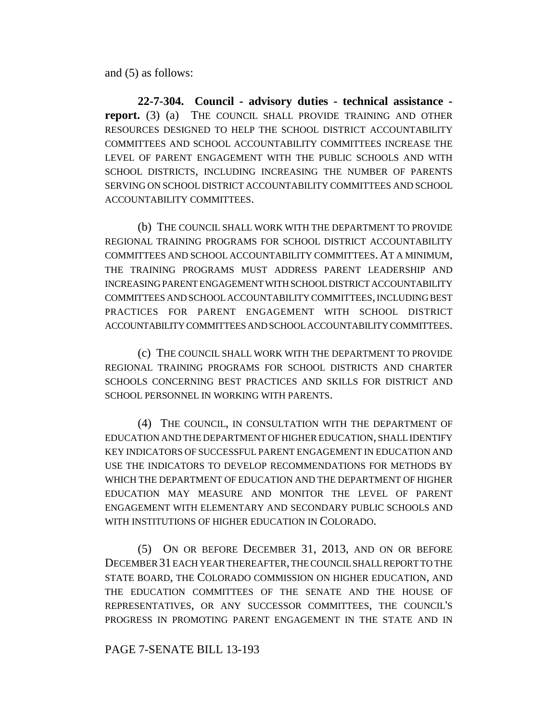and (5) as follows:

**22-7-304. Council - advisory duties - technical assistance report.** (3) (a) THE COUNCIL SHALL PROVIDE TRAINING AND OTHER RESOURCES DESIGNED TO HELP THE SCHOOL DISTRICT ACCOUNTABILITY COMMITTEES AND SCHOOL ACCOUNTABILITY COMMITTEES INCREASE THE LEVEL OF PARENT ENGAGEMENT WITH THE PUBLIC SCHOOLS AND WITH SCHOOL DISTRICTS, INCLUDING INCREASING THE NUMBER OF PARENTS SERVING ON SCHOOL DISTRICT ACCOUNTABILITY COMMITTEES AND SCHOOL ACCOUNTABILITY COMMITTEES.

(b) THE COUNCIL SHALL WORK WITH THE DEPARTMENT TO PROVIDE REGIONAL TRAINING PROGRAMS FOR SCHOOL DISTRICT ACCOUNTABILITY COMMITTEES AND SCHOOL ACCOUNTABILITY COMMITTEES. AT A MINIMUM, THE TRAINING PROGRAMS MUST ADDRESS PARENT LEADERSHIP AND INCREASING PARENT ENGAGEMENT WITH SCHOOL DISTRICT ACCOUNTABILITY COMMITTEES AND SCHOOL ACCOUNTABILITY COMMITTEES, INCLUDING BEST PRACTICES FOR PARENT ENGAGEMENT WITH SCHOOL DISTRICT ACCOUNTABILITY COMMITTEES AND SCHOOL ACCOUNTABILITY COMMITTEES.

(c) THE COUNCIL SHALL WORK WITH THE DEPARTMENT TO PROVIDE REGIONAL TRAINING PROGRAMS FOR SCHOOL DISTRICTS AND CHARTER SCHOOLS CONCERNING BEST PRACTICES AND SKILLS FOR DISTRICT AND SCHOOL PERSONNEL IN WORKING WITH PARENTS.

(4) THE COUNCIL, IN CONSULTATION WITH THE DEPARTMENT OF EDUCATION AND THE DEPARTMENT OF HIGHER EDUCATION, SHALL IDENTIFY KEY INDICATORS OF SUCCESSFUL PARENT ENGAGEMENT IN EDUCATION AND USE THE INDICATORS TO DEVELOP RECOMMENDATIONS FOR METHODS BY WHICH THE DEPARTMENT OF EDUCATION AND THE DEPARTMENT OF HIGHER EDUCATION MAY MEASURE AND MONITOR THE LEVEL OF PARENT ENGAGEMENT WITH ELEMENTARY AND SECONDARY PUBLIC SCHOOLS AND WITH INSTITUTIONS OF HIGHER EDUCATION IN COLORADO.

(5) ON OR BEFORE DECEMBER 31, 2013, AND ON OR BEFORE DECEMBER 31 EACH YEAR THEREAFTER, THE COUNCIL SHALL REPORT TO THE STATE BOARD, THE COLORADO COMMISSION ON HIGHER EDUCATION, AND THE EDUCATION COMMITTEES OF THE SENATE AND THE HOUSE OF REPRESENTATIVES, OR ANY SUCCESSOR COMMITTEES, THE COUNCIL'S PROGRESS IN PROMOTING PARENT ENGAGEMENT IN THE STATE AND IN

# PAGE 7-SENATE BILL 13-193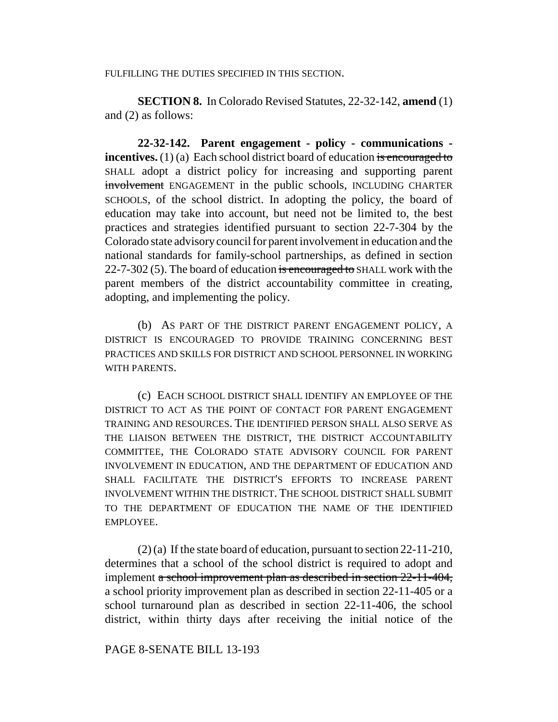#### FULFILLING THE DUTIES SPECIFIED IN THIS SECTION.

**SECTION 8.** In Colorado Revised Statutes, 22-32-142, **amend** (1) and (2) as follows:

**22-32-142. Parent engagement - policy - communications incentives.** (1) (a) Each school district board of education is encouraged to SHALL adopt a district policy for increasing and supporting parent involvement ENGAGEMENT in the public schools, INCLUDING CHARTER SCHOOLS, of the school district. In adopting the policy, the board of education may take into account, but need not be limited to, the best practices and strategies identified pursuant to section 22-7-304 by the Colorado state advisory council for parent involvement in education and the national standards for family-school partnerships, as defined in section 22-7-302 (5). The board of education is encouraged to SHALL work with the parent members of the district accountability committee in creating, adopting, and implementing the policy.

(b) AS PART OF THE DISTRICT PARENT ENGAGEMENT POLICY, A DISTRICT IS ENCOURAGED TO PROVIDE TRAINING CONCERNING BEST PRACTICES AND SKILLS FOR DISTRICT AND SCHOOL PERSONNEL IN WORKING WITH PARENTS.

(c) EACH SCHOOL DISTRICT SHALL IDENTIFY AN EMPLOYEE OF THE DISTRICT TO ACT AS THE POINT OF CONTACT FOR PARENT ENGAGEMENT TRAINING AND RESOURCES. THE IDENTIFIED PERSON SHALL ALSO SERVE AS THE LIAISON BETWEEN THE DISTRICT, THE DISTRICT ACCOUNTABILITY COMMITTEE, THE COLORADO STATE ADVISORY COUNCIL FOR PARENT INVOLVEMENT IN EDUCATION, AND THE DEPARTMENT OF EDUCATION AND SHALL FACILITATE THE DISTRICT'S EFFORTS TO INCREASE PARENT INVOLVEMENT WITHIN THE DISTRICT. THE SCHOOL DISTRICT SHALL SUBMIT TO THE DEPARTMENT OF EDUCATION THE NAME OF THE IDENTIFIED EMPLOYEE.

(2) (a) If the state board of education, pursuant to section 22-11-210, determines that a school of the school district is required to adopt and implement a school improvement plan as described in section 22-11-404, a school priority improvement plan as described in section 22-11-405 or a school turnaround plan as described in section 22-11-406, the school district, within thirty days after receiving the initial notice of the

### PAGE 8-SENATE BILL 13-193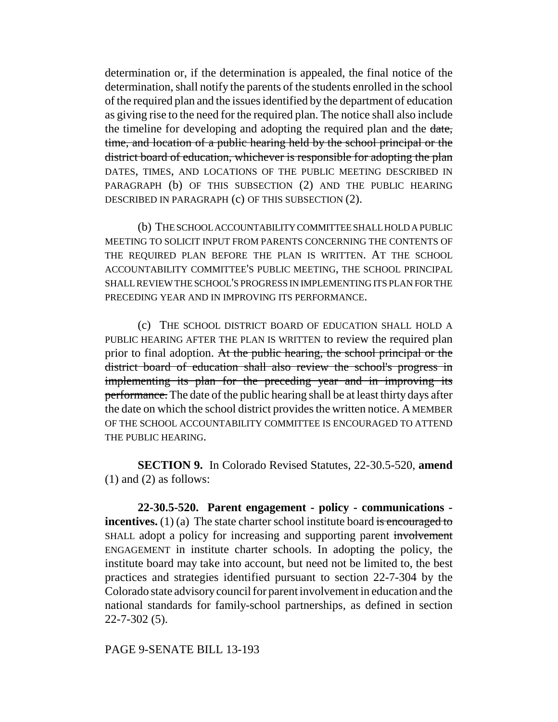determination or, if the determination is appealed, the final notice of the determination, shall notify the parents of the students enrolled in the school of the required plan and the issues identified by the department of education as giving rise to the need for the required plan. The notice shall also include the timeline for developing and adopting the required plan and the date, time, and location of a public hearing held by the school principal or the district board of education, whichever is responsible for adopting the plan DATES, TIMES, AND LOCATIONS OF THE PUBLIC MEETING DESCRIBED IN PARAGRAPH (b) OF THIS SUBSECTION (2) AND THE PUBLIC HEARING DESCRIBED IN PARAGRAPH (c) OF THIS SUBSECTION (2).

(b) THE SCHOOL ACCOUNTABILITY COMMITTEE SHALL HOLD A PUBLIC MEETING TO SOLICIT INPUT FROM PARENTS CONCERNING THE CONTENTS OF THE REQUIRED PLAN BEFORE THE PLAN IS WRITTEN. AT THE SCHOOL ACCOUNTABILITY COMMITTEE'S PUBLIC MEETING, THE SCHOOL PRINCIPAL SHALL REVIEW THE SCHOOL'S PROGRESS IN IMPLEMENTING ITS PLAN FOR THE PRECEDING YEAR AND IN IMPROVING ITS PERFORMANCE.

(c) THE SCHOOL DISTRICT BOARD OF EDUCATION SHALL HOLD A PUBLIC HEARING AFTER THE PLAN IS WRITTEN to review the required plan prior to final adoption. At the public hearing, the school principal or the district board of education shall also review the school's progress in implementing its plan for the preceding year and in improving its performance. The date of the public hearing shall be at least thirty days after the date on which the school district provides the written notice. A MEMBER OF THE SCHOOL ACCOUNTABILITY COMMITTEE IS ENCOURAGED TO ATTEND THE PUBLIC HEARING.

**SECTION 9.** In Colorado Revised Statutes, 22-30.5-520, **amend** (1) and (2) as follows:

**22-30.5-520. Parent engagement - policy - communications incentives.** (1) (a) The state charter school institute board is encouraged to SHALL adopt a policy for increasing and supporting parent involvement ENGAGEMENT in institute charter schools. In adopting the policy, the institute board may take into account, but need not be limited to, the best practices and strategies identified pursuant to section 22-7-304 by the Colorado state advisory council for parent involvement in education and the national standards for family-school partnerships, as defined in section 22-7-302 (5).

PAGE 9-SENATE BILL 13-193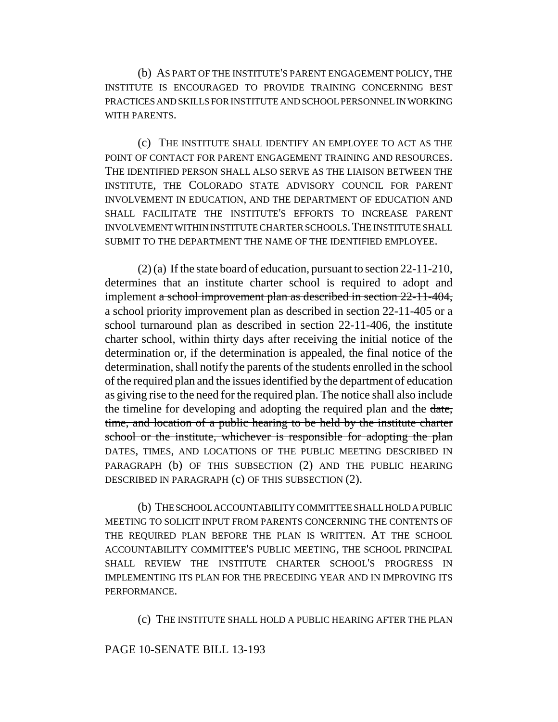(b) AS PART OF THE INSTITUTE'S PARENT ENGAGEMENT POLICY, THE INSTITUTE IS ENCOURAGED TO PROVIDE TRAINING CONCERNING BEST PRACTICES AND SKILLS FOR INSTITUTE AND SCHOOL PERSONNEL IN WORKING WITH PARENTS.

(c) THE INSTITUTE SHALL IDENTIFY AN EMPLOYEE TO ACT AS THE POINT OF CONTACT FOR PARENT ENGAGEMENT TRAINING AND RESOURCES. THE IDENTIFIED PERSON SHALL ALSO SERVE AS THE LIAISON BETWEEN THE INSTITUTE, THE COLORADO STATE ADVISORY COUNCIL FOR PARENT INVOLVEMENT IN EDUCATION, AND THE DEPARTMENT OF EDUCATION AND SHALL FACILITATE THE INSTITUTE'S EFFORTS TO INCREASE PARENT INVOLVEMENT WITHIN INSTITUTE CHARTER SCHOOLS.THE INSTITUTE SHALL SUBMIT TO THE DEPARTMENT THE NAME OF THE IDENTIFIED EMPLOYEE.

(2) (a) If the state board of education, pursuant to section 22-11-210, determines that an institute charter school is required to adopt and implement a school improvement plan as described in section 22-11-404, a school priority improvement plan as described in section 22-11-405 or a school turnaround plan as described in section 22-11-406, the institute charter school, within thirty days after receiving the initial notice of the determination or, if the determination is appealed, the final notice of the determination, shall notify the parents of the students enrolled in the school of the required plan and the issues identified by the department of education as giving rise to the need for the required plan. The notice shall also include the timeline for developing and adopting the required plan and the date, time, and location of a public hearing to be held by the institute charter school or the institute, whichever is responsible for adopting the plan DATES, TIMES, AND LOCATIONS OF THE PUBLIC MEETING DESCRIBED IN PARAGRAPH (b) OF THIS SUBSECTION (2) AND THE PUBLIC HEARING DESCRIBED IN PARAGRAPH (c) OF THIS SUBSECTION (2).

(b) THE SCHOOL ACCOUNTABILITY COMMITTEE SHALL HOLD A PUBLIC MEETING TO SOLICIT INPUT FROM PARENTS CONCERNING THE CONTENTS OF THE REQUIRED PLAN BEFORE THE PLAN IS WRITTEN. AT THE SCHOOL ACCOUNTABILITY COMMITTEE'S PUBLIC MEETING, THE SCHOOL PRINCIPAL SHALL REVIEW THE INSTITUTE CHARTER SCHOOL'S PROGRESS IN IMPLEMENTING ITS PLAN FOR THE PRECEDING YEAR AND IN IMPROVING ITS PERFORMANCE.

(c) THE INSTITUTE SHALL HOLD A PUBLIC HEARING AFTER THE PLAN

# PAGE 10-SENATE BILL 13-193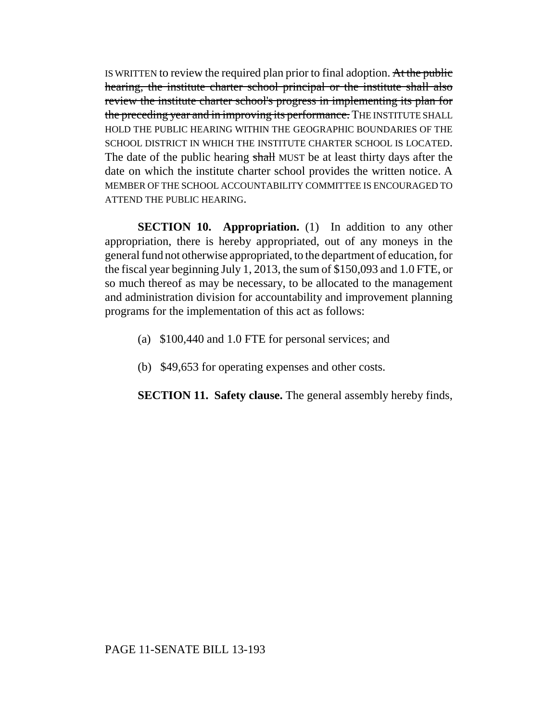IS WRITTEN to review the required plan prior to final adoption. At the public hearing, the institute charter school principal or the institute shall also review the institute charter school's progress in implementing its plan for the preceding year and in improving its performance. THE INSTITUTE SHALL HOLD THE PUBLIC HEARING WITHIN THE GEOGRAPHIC BOUNDARIES OF THE SCHOOL DISTRICT IN WHICH THE INSTITUTE CHARTER SCHOOL IS LOCATED. The date of the public hearing shall MUST be at least thirty days after the date on which the institute charter school provides the written notice. A MEMBER OF THE SCHOOL ACCOUNTABILITY COMMITTEE IS ENCOURAGED TO ATTEND THE PUBLIC HEARING.

**SECTION 10. Appropriation.** (1) In addition to any other appropriation, there is hereby appropriated, out of any moneys in the general fund not otherwise appropriated, to the department of education, for the fiscal year beginning July 1, 2013, the sum of \$150,093 and 1.0 FTE, or so much thereof as may be necessary, to be allocated to the management and administration division for accountability and improvement planning programs for the implementation of this act as follows:

- (a) \$100,440 and 1.0 FTE for personal services; and
- (b) \$49,653 for operating expenses and other costs.

**SECTION 11. Safety clause.** The general assembly hereby finds,